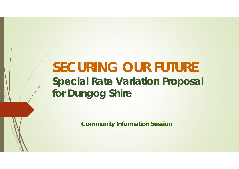# **SECURING OUR FUTURESpecial Rate Variation Proposal for Dungog Shire**

**Community Information Session**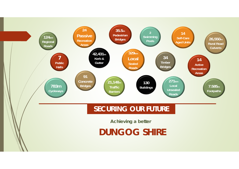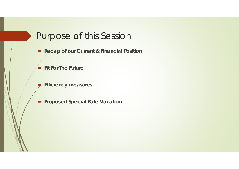# Purpose of this Session

- Recap of our Current & Financial Position
- **Fit For The Future**
- $\blacksquare$ **Efficiency measures**
- **Proposed Special Rate Variation**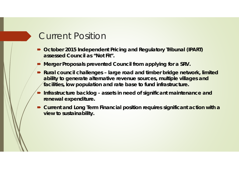# Current Position

- October 2015 Independent Pricing and Regulatory Tribunal (IPART) **assessed Council as "Not Fit".**
- $\blacksquare$ **Merger Proposals prevented Council from applying for a SRV.**
- Rural council challenges large road and timber bridge network, limited **ability to generate alternative revenue sources, multiple villages and facilities, low population and rate base to fund infrastructure.**
- $\blacksquare$  **Infrastructure backlog - assets in need of significant maintenance and renewal expenditure.**
- Current and Long Term Financial position requires significant action with a **view to sustainability.**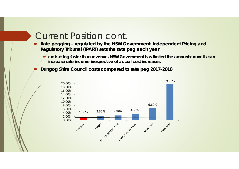# Current Position cont.

- Rate pegging regulated by the NSW Government. Independent Pricing and **Regulatory Tribunal (IPART) sets the rate peg each year**
	- $\blacksquare$  **costs rising faster than revenue, NSW Government has limited the amount councils can increase rate income irrespective of actual cost increases.**
- D **Dungog Shire Council costs compared to rate peg 2017-2018**

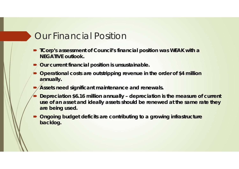### Our Financial Position

- **TCorp's assessment of Council's financial position was WEAK with a NEGATIVE outlook.**
- $\blacksquare$ **Our current financial position is unsustainable.**
- Operational costs are outstripping revenue in the order of \$4 million **annually.**
- $\blacksquare$ **Assets need significant maintenance and renewals.**
- $\blacksquare$  **Depreciation \$6.16 million annually – depreciation is the measure of current use of an asset and ideally assets should be renewed at the same rate they are being used.**
- $\blacksquare$  **Ongoing budget deficits are contributing to a growing infrastructure backlog.**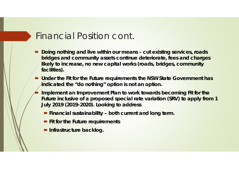### Financial Position cont.

- Doing nothing and live within our means cut existing services, roads **bridges and community assets continue deteriorate, fees and charges likely to increase, no new capital works (roads, bridges, community facilities).**
- Under the Fit for the Future requirements the NSW State Government has **indicated the "do nothing" option is not an option.**
- $\blacksquare$  **Implement an Improvement Plan to work towards becoming Fit for the Future inclusive of a proposed special rate variation (SRV) to apply from 1 July 2019 (2019-2020). Looking to address**
	- Financial sustainability both current and long term.
	- **Fit for the Future requirements**
	- **P** Infrastructure backlog.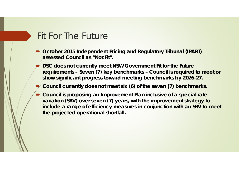# Fit For The Future

- October 2015 Independent Pricing and Regulatory Tribunal (IPART) **assessed Council as "Not Fit".**
- $\blacksquare$  **DSC does not currently meet NSW Government Fit for the Future requirements – Seven (7) key benchmarks – Council is required to meet or show significant progress toward meeting benchmarks by 2026-27.**
- D **Council currently does not meet six (6) of the seven (7) benchmarks.**
- $\blacksquare$  **Council is proposing an Improvement Plan inclusive of a special rate variation (SRV) over seven (7) years, with the improvement strategy to include a range of efficiency measures in conjunction with an SRV to meet the projected operational shortfall.**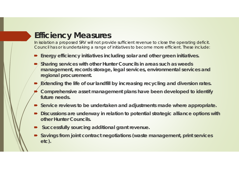#### **Efficiency Measures**

In isolation a proposed SRV will not provide sufficient revenue to close the operating deficit. Council has or is undertaking a range of initiatives to become more efficient. These include:

- **Energy efficiency initiatives including solar and other green initiatives.**
- $\blacksquare$  **Sharing services with other Hunter Councils in areas such as weeds management, records storage, legal services, environmental services and regional procurement.**
- $\blacksquare$ **Extending the life of our landfill by increasing recycling and diversion rates.**
- D **Comprehensive asset management plans have been developed to identify future needs.**
- Service reviews to be undertaken and adjustments made where appropriate.
- Discussions are underway in relation to potential strategic alliance options with **other Hunter Councils.**
- $\blacksquare$ **Successfully sourcing additional grant revenue.**
- Savings from joint contract negotiations (waste management, print services **etc).**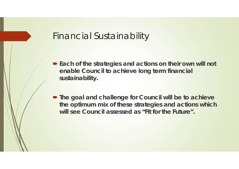#### Financial Sustainability

- Each of the strategies and actions on their own will not **enable Council to achieve long term financial sustainability.**
- **The goal and challenge for Council will be to achieve the optimum mix of these strategies and actions which will see Council assessed as "Fit for the Future".**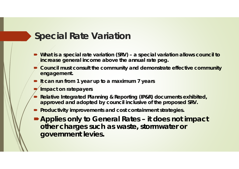# **Special Rate Variation**

- What is a special rate variation (SRV) a special variation allows council to **increase general income above the annual rate peg.**
- **P** Council must consult the community and demonstrate effective community **engagement.**
- **If can run from 1 year up to a maximum 7 years**
- $\blacksquare$ **Impact on ratepayers**
- $\blacksquare$  **Relative Integrated Planning & Reporting (IP&R) documents exhibited, approved and adopted by council inclusive of the proposed SRV.**
- **Productivity improvements and cost containment strategies.**
- **Applies only to General Rates – it does not impact other charges such as waste, stormwater or government levies.**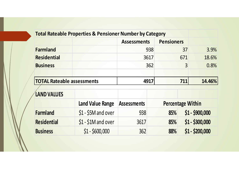|                                   | <b>Total Rateable Properties &amp; Pensioner Number by Category</b> |                    |                          |        |
|-----------------------------------|---------------------------------------------------------------------|--------------------|--------------------------|--------|
|                                   |                                                                     | <b>Assessments</b> | <b>Pensioners</b>        |        |
| <b>Farmland</b>                   |                                                                     | 938                | 37                       | 3.9%   |
| <b>Residential</b>                |                                                                     | 3617               | 671                      | 18.6%  |
| <b>Business</b>                   |                                                                     | 362                | 3                        | 0.8%   |
| <b>TOTAL Rateable assessments</b> |                                                                     | 4917               | 711                      | 14.46% |
| <b>LAND VALUES</b>                |                                                                     |                    |                          |        |
|                                   | <b>Land Value Range</b>                                             | <b>Assessments</b> | <b>Percentage Within</b> |        |

|                    | Land Value Range   Assessments |      |     | <b>Percentage Within</b> |
|--------------------|--------------------------------|------|-----|--------------------------|
| <b>Farmland</b>    | $$1 - $5M$ and over            | 938  | 85% | $$1 - $900,000$          |
| <b>Residential</b> | $$1 - $1M$ and over            | 3617 | 85% | $$1 - $300,000$          |
| <b>Business</b>    | $$1 - $600,000$                | 362  | 88% | $$1 - $200,000$          |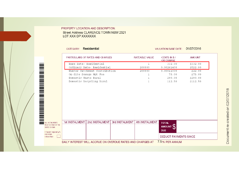PROPERTY LOCATION AND DESCRIPTION: Street Address CLARENCE TOWN NSW 2321 LOT XXX DP XXXXXXX

|                                    | CATEGORY: Residential |                                                            |                |                       | <b>VALUATION BASE DATE:</b>      | 01/07/2016    |  |
|------------------------------------|-----------------------|------------------------------------------------------------|----------------|-----------------------|----------------------------------|---------------|--|
|                                    |                       | PARTICULARS OF RATES AND CHARGES                           |                | <b>RATEABLE VALUE</b> | CENTS IN \$/<br><b>OR CHARGE</b> | <b>AMOUNT</b> |  |
|                                    |                       | Base Rate- Residential                                     |                | -1                    | 332.00                           | \$332.00      |  |
|                                    |                       | Ordinary Rate- Residential                                 |                | 200000                | 0.00261400                       | \$522.80      |  |
|                                    |                       | Hunter Catchment Contribution                              |                | 200000                | 0.00011000                       | \$22.00       |  |
|                                    |                       | On-Site Sewage Mgt Fee                                     |                | 1                     | 75.00                            | \$75.00       |  |
|                                    | Domestic Waste Rural  |                                                            |                | $\mathbf 1$           | 290.00                           | \$290.00      |  |
|                                    |                       | Domestic Recycling Rural                                   |                | 1                     | 112.50                           | \$112.50      |  |
| ALL INSTALMENTS                    | 1st INSTALMENT        | 2nd INSTALMENT                                             | 3rd INSTALMENT | 4th INSTALMENT        | <b>TOTAL</b>                     |               |  |
| MUST BE PAID BY THE                |                       |                                                            |                |                       | AMOUNT B                         |               |  |
| DATES SHOWN                        |                       |                                                            |                |                       |                                  |               |  |
| If Receipt required $(\checkmark)$ |                       |                                                            |                |                       | <b>DUE</b>                       |               |  |
| and return<br>notice intact.       |                       |                                                            |                |                       | <b>DEDUCT PAYMENTS SINCE</b>     |               |  |
|                                    |                       | DAILY INTEREST WILL ACCRUE ON OVERDUE RATES AND CHARGES AT |                |                       | 7.5% PER ANNUM                   |               |  |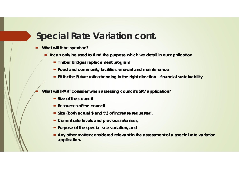# **Special Rate Variation cont.**

 $\blacksquare$ **What will it be spent on?**

íD

- **If can only be used to fund the purpose which we detail in our application** 
	- **Timber bridges replacement program**
	- **Road and community facilities renewal and maintenance**
	- **Fit for the Future ratios trending in the right direction financial sustainability**

**What will IPART consider when assessing council's SRV application?**

- **Size of the council**
- **Resources of the council**
- **Size (both actual \$ and %) of increase requested,**
- **Current rate levels and previous rate rises,**
- **Purpose of the special rate variation, and**
- **Any other matter considered relevant in the assessment of a special rate variation application.**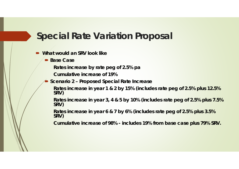# **Special Rate Variation Proposal**

- **What would an SRV look like**
	- **Base Case**

**Rates increase by rate peg of 2.5% pa**

**Cumulative increase of 19%**

D **Scenario 2 – Proposed Special Rate Increase**

**Rates increase in year 1 & 2 by 15% (includes rate peg of 2.5% plus 12.5% SRV)**

**Rates increase in year 3, 4 & 5 by 10% (includes rate peg of 2.5% plus 7.5% SRV)**

**Rates increase in year 6 & 7 by 6% (includes rate peg of 2.5% plus 3.5% SRV)**

**Cumulative increase of 98% - includes 19% from base case plus 79% SRV.**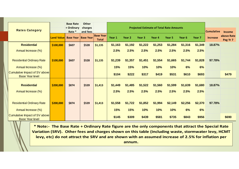|                                                         |                   | <b>Base Rate</b> | <b>Other</b>     |                                  |         |                   |                   |                                                 |                   |         |                   |                   |                        |
|---------------------------------------------------------|-------------------|------------------|------------------|----------------------------------|---------|-------------------|-------------------|-------------------------------------------------|-------------------|---------|-------------------|-------------------|------------------------|
|                                                         |                   | + Ordinary       | charges          |                                  |         |                   |                   | <b>Projected Estimate of Total Rate Amounts</b> |                   |         |                   |                   |                        |
| <b>Rates Category</b>                                   |                   | Rate *           | and fees         |                                  |         |                   |                   |                                                 |                   |         |                   | <b>Cumulative</b> | <b>Income</b>          |
|                                                         | <b>Land Value</b> | <b>Base Year</b> | <b>Base Year</b> | <b>Base Year</b><br><b>Total</b> | Year 1  | Year <sub>2</sub> | Year <sub>3</sub> | Year 4                                          | Year <sub>5</sub> | Year 6  | Year <sub>7</sub> | <b>Increase</b>   | above Rate<br>Peg Yr 7 |
| <b>Residential</b>                                      | \$100,000         | \$607            | \$528            | \$1,135                          | \$1,163 | \$1,192           | \$1,222           | \$1,253                                         | \$1,284           | \$1,316 | \$1,349           | 18.87%            |                        |
| Annual Increase (%)                                     |                   |                  |                  |                                  | 2.5%    | 2.5%              | 2.5%              | 2.5%                                            | 2.5%              | 2.5%    | 2.5%              |                   |                        |
| <b>Residential Ordinary Rate</b>                        | \$100,000         | \$607            | \$528            | \$1,135                          | \$1,239 | \$1,357           | \$1,451           | \$1,554                                         | \$1,665           | \$1,744 | \$1,828           | 97.78%            |                        |
| Annual Increase (%)                                     |                   |                  |                  |                                  | 15%     | 15%               | 10%               | 10%                                             | 10%               | 6%      | 6%                |                   |                        |
| Cumulative Impact of SV above<br><b>Base Year level</b> |                   |                  |                  |                                  | \$104   | \$222             | \$317             | \$419                                           | \$531             | \$610   | \$693             |                   | \$479                  |
| <b>Residential</b>                                      | \$200,000         | \$874            | \$539            | \$1,413                          | \$1,449 | \$1,485           | \$1,522           | \$1,560                                         | \$1,599           | \$1,639 | \$1,680           | 18.87%            |                        |
| Annual Increase (%)                                     |                   |                  |                  |                                  | 2.5%    | 2.5%              | 2.5%              | 2.5%                                            | 2.5%              | 2.5%    | 2.5%              |                   |                        |
|                                                         |                   |                  |                  |                                  |         |                   |                   |                                                 |                   |         |                   |                   |                        |
| <b>Residential Ordinary Rate</b>                        | \$200,000         | \$874            | \$539            | \$1,413                          | \$1,558 | \$1,722           | \$1,852           | \$1,994                                         | \$2,149           | \$2,256 | \$2,370           | 97.78%            |                        |
| Annual Increase (%)                                     |                   |                  |                  |                                  | 15%     | 15%               | 10%               | 10%                                             | 10%               | 6%      | 6%                |                   |                        |
| Cumulative Impact of SV above<br><b>Base Year level</b> |                   |                  |                  |                                  | \$145   | \$309             | \$439             | \$581                                           | \$735             | \$843   | \$956             |                   | \$690                  |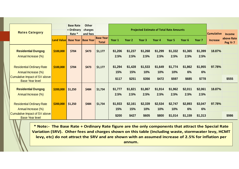| <b>Rates Category</b>                                                   |                   | <b>Base Rate</b><br>+ Ordinary | <b>Other</b><br>charges      |                                  |                 |                 |                   | <b>Projected Estimate of Total Rate Amounts</b> |                 |                   |                   | <b>Cumulative</b> |                                         |
|-------------------------------------------------------------------------|-------------------|--------------------------------|------------------------------|----------------------------------|-----------------|-----------------|-------------------|-------------------------------------------------|-----------------|-------------------|-------------------|-------------------|-----------------------------------------|
|                                                                         | <b>Land Value</b> | Rate *<br><b>Base Year</b>     | and fees<br><b>Base Year</b> | <b>Base Year</b><br><b>Total</b> | Year 1          | Year 2          | Year <sub>3</sub> | Year <sub>4</sub>                               | Year 5          | Year <sub>6</sub> | Year <sub>7</sub> | <b>Increase</b>   | <b>Income</b><br>above Rate<br>Peg Yr 7 |
| <b>Residential Dungog</b><br>Annual Increase (%)                        | \$100,000         | \$704                          | \$473                        | \$1,177                          | \$1,206<br>2.5% | \$1,237<br>2.5% | \$1,268<br>2.5%   | \$1,299<br>2.5%                                 | \$1,332<br>2.5% | \$1,365<br>2.5%   | \$1,399<br>2.5%   | 18.87%            |                                         |
| <b>Residential Ordinary Rate</b>                                        | \$100,000         | \$704                          | \$473                        | \$1,177                          | \$1,294         | \$1,428         | \$1,533           | \$1,649                                         | \$1,774         | \$1,862           | \$1,955           | 97.78%            |                                         |
| Annual Increase (%)                                                     |                   |                                |                              |                                  | 15%             | 15%             | 10%               | 10%                                             | 10%             | 6%                | 6%                |                   |                                         |
| Cumulative Impact of SV above<br><b>Base Year level</b>                 |                   |                                |                              |                                  | \$117           | \$251           | \$356             | \$472                                           | \$597           | \$685             | \$778             |                   | \$555                                   |
| <b>Residential Dungog</b><br>Annual Increase (%)                        | \$200,000         | \$1,250                        | \$484                        | \$1,734                          | \$1,777<br>2.5% | \$1,821<br>2.5% | \$1,867<br>2.5%   | \$1,914<br>2.5%                                 | \$1,962<br>2.5% | \$2,011<br>2.5%   | \$2,061<br>2.5%   | 18.87%            |                                         |
| <b>Residential Ordinary Rate</b>                                        | \$200,000         | \$1,250                        | \$484                        | \$1,734                          | \$1,933         | \$2,161         | \$2,339           | \$2,534                                         | \$2,747         | \$2,893           | \$3,047           | 97.78%            |                                         |
| Annual Increase (%)                                                     |                   |                                |                              |                                  | 15%             | 15%             | 10%               | 10%                                             | 10%             | 6%                | 6%                |                   |                                         |
| Cumulative Impact of SV above<br><b>Base Year level</b><br>$\mathbb{Z}$ |                   |                                |                              |                                  | \$200           | \$427           | \$605             | \$800                                           | \$1,014         | \$1,159           | \$1,313           |                   | \$986                                   |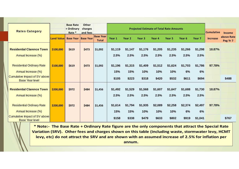| <b>Rates Category</b>                                   |                   | <b>Base Rate</b><br>+ Ordinary<br>Rate * | <b>Other</b><br>charges<br>and fees | <b>Base Year</b> | <b>Projected Estimate of Total Rate Amounts</b><br>Year 1<br>Year 2<br>Year <sub>3</sub><br>Year <sub>5</sub><br>Year <sub>6</sub><br>Year 4<br>Year <sub>7</sub> |         |         |         |         |         |         | <b>Cumulative</b> | <b>Income</b><br>above Rate |
|---------------------------------------------------------|-------------------|------------------------------------------|-------------------------------------|------------------|-------------------------------------------------------------------------------------------------------------------------------------------------------------------|---------|---------|---------|---------|---------|---------|-------------------|-----------------------------|
|                                                         | <b>Land Value</b> | <b>Base Year Base Year</b>               |                                     | <b>Total</b>     |                                                                                                                                                                   |         |         |         |         |         |         | <b>Increase</b>   | Peg Yr 7                    |
| <b>Residential Clarence Town</b>                        | \$100,000         | \$619                                    | \$473                               | \$1,092          | \$1,119                                                                                                                                                           | \$1,147 | \$1,176 | \$1,205 | \$1,235 | \$1,266 | \$1,298 | 18.87%            |                             |
| Annual Increase (%)                                     |                   |                                          |                                     |                  | 2.5%                                                                                                                                                              | 2.5%    | 2.5%    | 2.5%    | 2.5%    | 2.5%    | 2.5%    |                   |                             |
| <b>Residential Ordinary Rate</b>                        | \$100,000         | \$619                                    | \$473                               | \$1,092          | \$1,196                                                                                                                                                           | \$1,315 | \$1,409 | \$1,512 | \$1,624 | \$1,703 | \$1,786 | 97.78%            |                             |
| Annual Increase (%)                                     |                   |                                          |                                     |                  | 15%                                                                                                                                                               | 15%     | 10%     | 10%     | 10%     | 6%      | 6%      |                   |                             |
| Cumulative Impact of SV above<br><b>Base Year level</b> |                   |                                          |                                     |                  | \$105                                                                                                                                                             | \$223   | \$318   | \$420   | \$532   | \$611   | \$694   |                   | \$488                       |
| <b>Residential Clarence Town</b>                        | \$200,000         | \$972                                    | \$484                               | \$1,456          | \$1,492                                                                                                                                                           | \$1,529 | \$1,568 | \$1,607 | \$1,647 | \$1,688 | \$1,730 | 18.87%            |                             |
| Annual Increase (%)                                     |                   |                                          |                                     |                  | 2.5%                                                                                                                                                              | 2.5%    | 2.5%    | 2.5%    | 2.5%    | 2.5%    | 2.5%    |                   |                             |
| <b>Residential Ordinary Rate</b>                        | \$200,000         | \$972                                    | \$484                               | \$1,456          | \$1,614                                                                                                                                                           | \$1,794 | \$1,935 | \$2,089 | \$2,258 | \$2,374 | \$2,497 | 97.78%            |                             |
| Annual Increase (%)                                     |                   |                                          |                                     |                  | 15%                                                                                                                                                               | 15%     | 10%     | 10%     | 10%     | 6%      | 6%      |                   |                             |
| Cumulative Impact of SV above<br><b>Base Year level</b> |                   |                                          |                                     |                  | \$158                                                                                                                                                             | \$338   | \$479   | \$633   | \$802   | \$919   | \$1,041 |                   | \$767                       |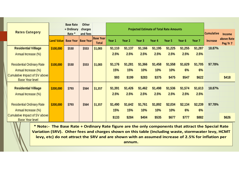|                                                                |            | <b>Base Rate</b>             | <b>Other</b>        |                                  |         |                   |                                                 |         |                   |                   |                   |                   |                        |
|----------------------------------------------------------------|------------|------------------------------|---------------------|----------------------------------|---------|-------------------|-------------------------------------------------|---------|-------------------|-------------------|-------------------|-------------------|------------------------|
| <b>Rates Category</b>                                          |            | + Ordinary<br>Rate *         | charges<br>and fees |                                  |         |                   | <b>Projected Estimate of Total Rate Amounts</b> |         |                   |                   |                   | <b>Cumulative</b> | <b>Income</b>          |
|                                                                | Land Value | <b>Base Year   Base Year</b> |                     | <b>Base Year</b><br><b>Total</b> | Year 1  | Year <sub>2</sub> | Year <sub>3</sub>                               | Year 4  | Year <sub>5</sub> | Year <sub>6</sub> | Year <sub>7</sub> | <b>Increase</b>   | above Rate<br>Peg Yr 7 |
| <b>Residential Villiage</b>                                    | \$100,000  | \$530                        | \$553               | \$1,083                          | \$1,110 | \$1,137           | \$1,166                                         | \$1,195 | \$1,225           | \$1,255           | \$1,287           | 18.87%            |                        |
| Annual Increase (%)                                            |            |                              |                     |                                  | 2.5%    | 2.5%              | 2.5%                                            | 2.5%    | 2.5%              | 2.5%              | 2.5%              |                   |                        |
|                                                                |            |                              |                     |                                  |         |                   |                                                 |         |                   |                   |                   |                   |                        |
| <b>Residential Ordinary Rate</b>                               | \$100,000  | \$530                        | \$553               | \$1,083                          | \$1,176 | \$1,281           | \$1,366                                         | \$1,458 | \$1,558           | \$1,629           | \$1,705           | 97.78%            |                        |
| Annual Increase (%)                                            |            |                              |                     |                                  | 15%     | 15%               | 10%                                             | 10%     | 10%               | 6%                | 6%                |                   |                        |
| <b>Cumulative Impact of SV above</b><br><b>Base Year level</b> |            |                              |                     |                                  | \$93    | \$199             | \$283                                           | \$375   | \$475             | \$547             | \$622             |                   | \$418                  |
| <b>Residential Villiage</b>                                    | \$200,000  | \$793                        | \$564               | \$1,357                          | \$1,391 | \$1,426           | \$1,462                                         | \$1,498 | \$1,536           | \$1,574           | \$1,613           | 18.87%            |                        |
| Annual Increase (%)                                            |            |                              |                     |                                  | 2.5%    | 2.5%              | 2.5%                                            | 2.5%    | 2.5%              | 2.5%              | 2.5%              |                   |                        |
|                                                                |            |                              |                     |                                  |         |                   |                                                 |         |                   |                   |                   |                   |                        |
| <b>Residential Ordinary Rate</b>                               | \$200,000  | \$793                        | \$564               | \$1,357                          | \$1,490 | \$1,642           | \$1,761                                         | \$1,892 | \$2,034           | \$2,134           | \$2,239           | 97.78%            |                        |
| Annual Increase (%)                                            |            |                              |                     |                                  | 15%     | 15%               | 10%                                             | 10%     | 10%               | 6%                | 6%                |                   |                        |
| <b>Cumulative Impact of SV above</b><br><b>Base Year level</b> |            |                              |                     |                                  | \$133   | \$284             | \$404                                           | \$535   | \$677             | \$777             | \$882             |                   | \$626                  |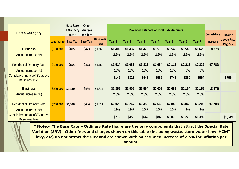| <b>Rates Category</b>                                          |                   | <b>Base Rate</b><br>+ Ordinary<br>Rate * | <b>Other</b><br>charges<br>and fees |                                  |         |         |                   | <b>Projected Estimate of Total Rate Amounts</b> |         |         |         | <b>Cumulative</b> | <b>Income</b>          |
|----------------------------------------------------------------|-------------------|------------------------------------------|-------------------------------------|----------------------------------|---------|---------|-------------------|-------------------------------------------------|---------|---------|---------|-------------------|------------------------|
|                                                                | <b>Land Value</b> | <b>Base Year Base Year</b>               |                                     | <b>Base Year</b><br><b>Total</b> | Year 1  | Year 2  | Year <sub>3</sub> | Year 4                                          | Year 5  | Year 6  | Year 7  | <b>Increase</b>   | above Rate<br>Peg Yr 7 |
| <b>Business</b>                                                | \$100,000         | \$895                                    | \$473                               | \$1,368                          | \$1,402 | \$1,437 | \$1,473           | \$1,510                                         | \$1,548 | \$1,586 | \$1,626 | 18.87%            |                        |
| Annual Increase (%)                                            |                   |                                          |                                     |                                  | 2.5%    | 2.5%    | 2.5%              | 2.5%                                            | 2.5%    | 2.5%    | 2.5%    |                   |                        |
|                                                                |                   |                                          |                                     |                                  |         |         |                   |                                                 |         |         |         |                   |                        |
| <b>Residential Ordinary Rate</b>                               | \$100,000         | \$895                                    | \$473                               | \$1,368                          | \$1,514 | \$1,681 | \$1,811           | \$1,954                                         | \$2,111 | \$2,218 | \$2,332 | 97.78%            |                        |
| Annual Increase (%)                                            |                   |                                          |                                     |                                  | 15%     | 15%     | 10%               | 10%                                             | 10%     | 6%      | 6%      |                   |                        |
| <b>Cumulative Impact of SV above</b><br><b>Base Year level</b> |                   |                                          |                                     |                                  | \$146   | \$313   | \$443             | \$586                                           | \$743   | \$850   | \$964   |                   | \$706                  |
| <b>Business</b>                                                | \$200,000         | \$1,330                                  | \$484                               | \$1,814                          | \$1,859 | \$1,906 | \$1,954           | \$2,002                                         | \$2,052 | \$2,104 | \$2,156 | 18.87%            |                        |
| Annual Increase (%)                                            |                   |                                          |                                     |                                  | 2.5%    | 2.5%    | 2.5%              | 2.5%                                            | 2.5%    | 2.5%    | 2.5%    |                   |                        |
|                                                                |                   |                                          |                                     |                                  |         |         |                   |                                                 |         |         |         |                   |                        |
| <b>Residential Ordinary Rate</b>                               | \$200,000         | \$1,330                                  | \$484                               | \$1,814                          | \$2,026 | \$2,267 | \$2,456           | \$2,663                                         | \$2,889 | \$3,043 | \$3,206 | 97.78%            |                        |
| Annual Increase (%)                                            |                   |                                          |                                     |                                  | 15%     | 15%     | 10%               | 10%                                             | 10%     | 6%      | 6%      |                   |                        |
| <b>Cumulative Impact of SV above</b><br><b>Base Year level</b> |                   |                                          |                                     |                                  | \$212   | \$453   | \$642             | \$848                                           | \$1,075 | \$1,229 | \$1,392 |                   | \$1,049                |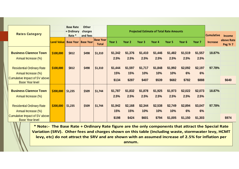| <b>Rates Category</b>                                          |             | <b>Base Rate</b><br>+ Ordinary<br>Rate * | <b>Other</b><br>charges<br>and fees |                                  |         |                   |                   | <b>Projected Estimate of Total Rate Amounts</b> |                   |         |         | <b>Cumulative</b> | <b>Income</b>          |
|----------------------------------------------------------------|-------------|------------------------------------------|-------------------------------------|----------------------------------|---------|-------------------|-------------------|-------------------------------------------------|-------------------|---------|---------|-------------------|------------------------|
|                                                                | Land Valuel | <b>Base Year Base Year</b>               |                                     | <b>Base Year</b><br><b>Total</b> | Year 1  | Year <sub>2</sub> | Year <sub>3</sub> | Year 4                                          | Year <sub>5</sub> | Year 6  | Year 7  | <b>Increase</b>   | above Rate<br>Peg Yr 7 |
| <b>Business Clarence Town</b>                                  | \$100,000   | \$812                                    | \$498                               | \$1,310                          | \$1,342 | \$1,376           | \$1,410           | \$1,446                                         | \$1,482           | \$1,519 | \$1,557 | 18.87%            |                        |
| Annual Increase (%)                                            |             |                                          |                                     |                                  | 2.5%    | 2.5%              | 2.5%              | 2.5%                                            | 2.5%              | 2.5%    | 2.5%    |                   |                        |
| <b>Residential Ordinary Rate</b>                               | \$100,000   | \$812                                    | \$498                               | \$1,310                          | \$1,444 | \$1,597           | \$1,717           | \$1,848                                         | \$1,992           | \$2,092 | \$2,197 | 97.78%            |                        |
| Annual Increase (%)                                            |             |                                          |                                     |                                  | 15%     | 15%               | 10%               | 10%                                             | 10%               | 6%      | 6%      |                   |                        |
| <b>Cumulative Impact of SV above</b><br><b>Base Year level</b> |             |                                          |                                     |                                  | \$134   | \$287             | \$407             | \$539                                           | \$682             | \$782   | \$888   |                   | \$640                  |
| <b>Business Clarence Town</b>                                  | \$200,000   | \$1,235                                  | \$509                               | \$1,744                          | \$1,787 | \$1,832           | \$1,878           | \$1,925                                         | \$1,973           | \$2,022 | \$2,073 | 18.87%            |                        |
| Annual Increase (%)                                            |             |                                          |                                     |                                  | 2.5%    | 2.5%              | 2.5%              | 2.5%                                            | 2.5%              | 2.5%    | 2.5%    |                   |                        |
| <b>Residential Ordinary Rate</b>                               | \$200,000   | \$1,235                                  | \$509                               | \$1,744                          | \$1,942 | \$2,168           | \$2,344           | \$2,538                                         | \$2,749           | \$2,894 | \$3,047 | 97.78%            |                        |
| Annual Increase (%)                                            |             |                                          |                                     |                                  | 15%     | 15%               | 10%               | 10%                                             | 10%               | 6%      | 6%      |                   |                        |
| <b>Cumulative Impact of SV above</b><br><b>Base Year level</b> |             |                                          |                                     |                                  | \$198   | \$424             | \$601             | \$794                                           | \$1,005           | \$1,150 | \$1,303 |                   | \$974                  |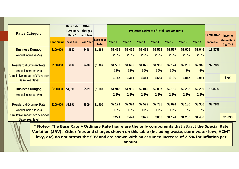| <b>Rates Category</b>                                          |                   | <b>Base Rate</b><br>+ Ordinary<br>Rate * | <b>Other</b><br>charges<br>and fees |                                  |         |         | <b>Projected Estimate of Total Rate Amounts</b> |         |         |                   |                   | <b>Cumulative</b> | <b>Income</b>          |
|----------------------------------------------------------------|-------------------|------------------------------------------|-------------------------------------|----------------------------------|---------|---------|-------------------------------------------------|---------|---------|-------------------|-------------------|-------------------|------------------------|
|                                                                | <b>Land Value</b> | <b>Base Year   Base Year</b>             |                                     | <b>Base Year</b><br><b>Total</b> | Year 1  | Year 2  | Year <sub>3</sub>                               | Year 4  | Year 5  | Year <sub>6</sub> | Year <sub>7</sub> | <b>Increase</b>   | above Rate<br>Peg Yr 7 |
| <b>Business Dungog</b>                                         | \$100,000         | \$887                                    | \$498                               | \$1,385                          | \$1,419 | \$1,455 | \$1,491                                         | \$1,528 | \$1,567 | \$1,606           | \$1,646           | 18.87%            |                        |
| Annual Increase (%)                                            |                   |                                          |                                     |                                  | 2.5%    | 2.5%    | 2.5%                                            | 2.5%    | 2.5%    | 2.5%              | 2.5%              |                   |                        |
|                                                                |                   |                                          |                                     |                                  |         |         |                                                 |         |         |                   |                   |                   |                        |
| <b>Residential Ordinary Rate</b>                               | \$100,000         | \$887                                    | \$498                               | \$1,385                          | \$1,530 | \$1,696 | \$1,826                                         | \$1,969 | \$2,124 | \$2,232           | \$2,346           | 97.78%            |                        |
| Annual Increase (%)                                            |                   |                                          |                                     |                                  | 15%     | 15%     | 10%                                             | 10%     | 10%     | 6%                | 6%                |                   |                        |
| <b>Cumulative Impact of SV above</b><br><b>Base Year level</b> |                   |                                          |                                     |                                  | \$145   | \$311   | \$441                                           | \$584   | \$739   | \$847             | \$961             |                   | \$700                  |
|                                                                |                   |                                          |                                     |                                  |         |         |                                                 |         |         |                   |                   |                   |                        |
| <b>Business Dungog</b>                                         | \$200,000         | \$1,391                                  | \$509                               | \$1,900                          | \$1,948 | \$1,996 | \$2,046                                         | \$2,097 | \$2,150 | \$2,203           | \$2,259           | 18.87%            |                        |
| Annual Increase (%)                                            |                   |                                          |                                     |                                  | 2.5%    | 2.5%    | 2.5%                                            | 2.5%    | 2.5%    | 2.5%              | 2.5%              |                   |                        |
|                                                                |                   |                                          |                                     |                                  |         |         |                                                 |         |         |                   |                   |                   |                        |
| <b>Residential Ordinary Rate</b>                               | \$200,000         | \$1,391                                  | \$509                               | \$1,900                          | \$2,121 | \$2,374 | \$2,572                                         | \$2,788 | \$3,024 | \$3,186           | \$3,356           | 97.78%            |                        |
| Annual Increase (%)                                            |                   |                                          |                                     |                                  | 15%     | 15%     | 10%                                             | 10%     | 10%     | 6%                | 6%                |                   |                        |
| <b>Cumulative Impact of SV above</b><br><b>Base Year level</b> |                   |                                          |                                     |                                  | \$221   | \$474   | \$672                                           | \$888   | \$1,124 | \$1,286           | \$1,456           |                   | \$1,098                |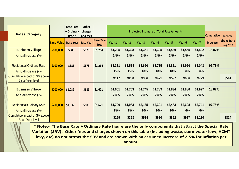| <b>Rates Category</b>                                          |                   | <b>Base Rate</b><br>+ Ordinary<br>Rate * | <b>Other</b><br>charges<br>and fees |                                  |         |         |                   | <b>Projected Estimate of Total Rate Amounts</b> |                   |         |         | <b>Cumulative</b> | <b>Income</b>          |
|----------------------------------------------------------------|-------------------|------------------------------------------|-------------------------------------|----------------------------------|---------|---------|-------------------|-------------------------------------------------|-------------------|---------|---------|-------------------|------------------------|
|                                                                | <b>Land Value</b> | <b>Base Year   Base Year</b>             |                                     | <b>Base Year</b><br><b>Total</b> | Year 1  | Year 2  | Year <sub>3</sub> | Year 4                                          | Year <sub>5</sub> | Year 6  | Year 7  | <b>Increase</b>   | above Rate<br>Peg Yr 7 |
| <b>Business Villiage</b>                                       | \$100,000         | \$686                                    | \$578                               | \$1,264                          | \$1,295 | \$1,328 | \$1,361           | \$1,395                                         | \$1,430           | \$1,465 | \$1,502 | 18.87%            |                        |
| Annual Increase (%)                                            |                   |                                          |                                     |                                  | 2.5%    | 2.5%    | 2.5%              | 2.5%                                            | 2.5%              | 2.5%    | 2.5%    |                   |                        |
|                                                                |                   |                                          |                                     |                                  |         |         |                   |                                                 |                   |         |         |                   |                        |
| <b>Residential Ordinary Rate</b>                               | \$100,000         | \$686                                    | \$578                               | \$1,264                          | \$1,381 | \$1,514 | \$1,620           | \$1,735                                         | \$1,861           | \$1,950 | \$2,043 | 97.78%            |                        |
| Annual Increase (%)                                            |                   |                                          |                                     |                                  | 15%     | 15%     | 10%               | 10%                                             | 10%               | 6%      | 6%      |                   |                        |
| <b>Cumulative Impact of SV above</b><br><b>Base Year level</b> |                   |                                          |                                     |                                  | \$117   | \$250   | \$356             | \$471                                           | \$597             | \$686   | \$779   |                   | \$541                  |
| <b>Business Villiage</b>                                       | \$200,000         | \$1,032                                  | \$589                               | \$1,621                          | \$1,661 | \$1,703 | \$1,745           | \$1,789                                         | \$1,834           | \$1,880 | \$1,927 | 18.87%            |                        |
| Annual Increase (%)                                            |                   |                                          |                                     |                                  | 2.5%    | 2.5%    | 2.5%              | 2.5%                                            | 2.5%              | 2.5%    | 2.5%    |                   |                        |
|                                                                |                   |                                          |                                     |                                  |         |         |                   |                                                 |                   |         |         |                   |                        |
| <b>Residential Ordinary Rate</b>                               | \$200,000         | \$1,032                                  | \$589                               | \$1,621                          | \$1,790 | \$1,983 | \$2,135           | \$2,301                                         | \$2,483           | \$2,608 | \$2,741 | 97.78%            |                        |
| Annual Increase (%)                                            |                   |                                          |                                     |                                  | 15%     | 15%     | 10%               | 10%                                             | 10%               | 6%      | 6%      |                   |                        |
| <b>Cumulative Impact of SV above</b><br><b>Base Year level</b> |                   |                                          |                                     |                                  | \$169   | \$363   | \$514             | \$680                                           | \$862             | \$987   | \$1,120 |                   | \$814                  |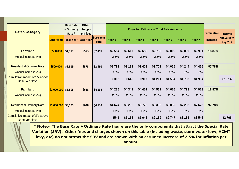|                                                         |                   | <b>Base Rate</b><br>+ Ordinary | <b>Other</b>        |                                  |         |                   |         |                                                 |         |         |                   |                   |                        |
|---------------------------------------------------------|-------------------|--------------------------------|---------------------|----------------------------------|---------|-------------------|---------|-------------------------------------------------|---------|---------|-------------------|-------------------|------------------------|
| <b>Rates Category</b>                                   |                   | Rate *                         | charges<br>and fees |                                  |         |                   |         | <b>Projected Estimate of Total Rate Amounts</b> |         |         |                   | <b>Cumulative</b> | Income                 |
|                                                         | <b>Land Value</b> | <b>Base Year</b>               | <b>Base Year</b>    | <b>Base Year</b><br><b>Total</b> | Year 1  | Year <sub>2</sub> | Year 3  | Year 4                                          | Year 5  | Year 6  | Year <sub>7</sub> | <b>Increase</b>   | above Rate<br>Peg Yr 7 |
| <b>Farmland</b>                                         | \$500,000         | \$1,919                        | \$573               | \$2,491                          | \$2,554 | \$2,617           | \$2,683 | \$2,750                                         | \$2,819 | \$2,889 | \$2,961           | 18.87%            |                        |
| Annual Increase (%)                                     |                   |                                |                     |                                  | 2.5%    | 2.5%              | 2.5%    | 2.5%                                            | 2.5%    | 2.5%    | 2.5%              |                   |                        |
| <b>Residential Ordinary Rate</b>                        | \$500,000         | \$1,919                        | \$573               | \$2,491                          | \$2,793 | \$3,139           | \$3,408 | \$3,702                                         | \$4,025 | \$4,244 | \$4,476           | 97.78%            |                        |
| Annual Increase (%)                                     |                   |                                |                     |                                  | 15%     | 15%               | 10%     | 10%                                             | 10%     | 6%      | 6%                |                   |                        |
| Cumulative Impact of SV above<br><b>Base Year level</b> |                   |                                |                     |                                  | \$302   | \$648             | \$917   | \$1,211                                         | \$1,534 | \$1,753 | \$1,984           |                   | \$1,514                |
| <b>Farmland</b>                                         | \$1,000,000       | \$3,505                        | \$628               | \$4,133                          | \$4,236 | \$4,342           | \$4,451 | \$4,562                                         | \$4,676 | \$4,793 | \$4,913           | 18.87%            |                        |
| Annual Increase (%)                                     |                   |                                |                     |                                  | 2.5%    | 2.5%              | 2.5%    | 2.5%                                            | 2.5%    | 2.5%    | 2.5%              |                   |                        |
| <b>Residential Ordinary Rate</b>                        | \$1,000,000       | \$3,505                        | \$628               | \$4,133                          | \$4,674 | \$5,295           | \$5,775 | \$6,302                                         | \$6,880 | \$7,268 | \$7,678           | 97.78%            |                        |
| Annual Increase (%)                                     |                   |                                |                     |                                  | 15%     | 15%               | 10%     | 10%                                             | 10%     | 6%      | 6%                |                   |                        |
| Cumulative Impact of SV above<br><b>Base Year level</b> |                   |                                |                     |                                  | \$541   | \$1,162           | \$1,642 | \$2,169                                         | \$2,747 | \$3,135 | \$3,546           |                   | \$2,766                |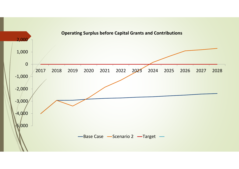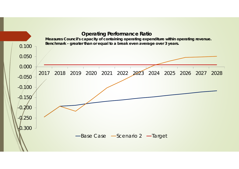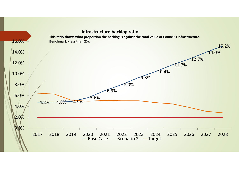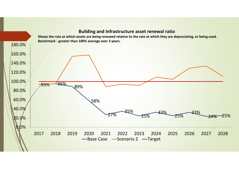

#### **Building and Infrastructure asset renewal ratio**